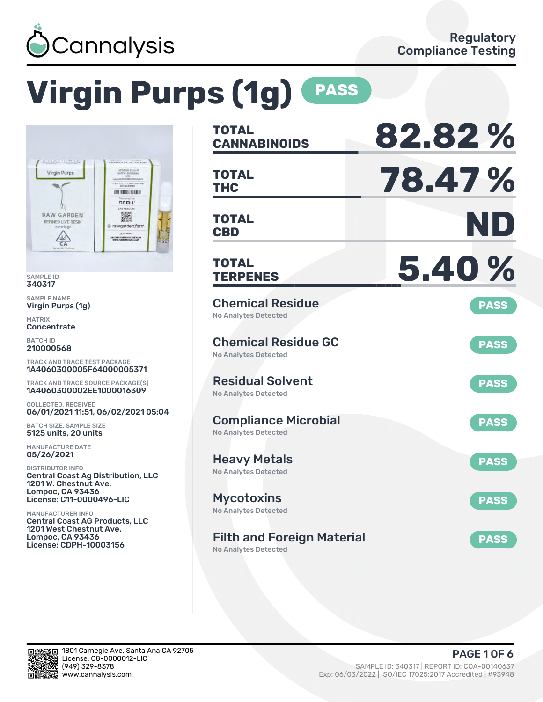

# **Virgin Purps (1g) PASS**



SAMPLE ID 340317

SAMPLE NAME Virgin Purps (1g)

MATRIX **Concentrate** 

BATCH ID 210000568

TRACK AND TRACE TEST PACKAGE 1A4060300005F64000005371

TRACK AND TRACE SOURCE PACKAGE(S) 1A4060300002EE1000016309

COLLECTED, RECEIVED 06/01/2021 11:51, 06/02/2021 05:04

BATCH SIZE, SAMPLE SIZE 5125 units, 20 units

MANUFACTURE DATE 05/26/2021

DISTRIBUTOR INFO Central Coast Ag Distribution, LLC 1201 W. Chestnut Ave. Lompoc, CA 93436 License: C11-0000496-LIC

MANUFACTURER INFO Central Coast AG Products, LLC 1201 West Chestnut Ave. Lompoc, CA 93436 License: CDPH-10003156

| <b>TOTAL</b>                                               | 82.82%      |
|------------------------------------------------------------|-------------|
| <b>CANNABINOIDS</b>                                        |             |
| <b>TOTAL</b><br><b>THC</b>                                 | 78.47%      |
| <b>TOTAL</b><br><b>CBD</b>                                 | ND          |
| <b>TOTAL</b><br><b>TERPENES</b>                            | 5.40%       |
| <b>Chemical Residue</b><br><b>No Analytes Detected</b>     | <b>PASS</b> |
| <b>Chemical Residue GC</b><br><b>No Analytes Detected</b>  | <b>PASS</b> |
| <b>Residual Solvent</b><br><b>No Analytes Detected</b>     | <b>PASS</b> |
| <b>Compliance Microbial</b><br><b>No Analytes Detected</b> | <b>PASS</b> |
| <b>Heavy Metals</b><br><b>No Analytes Detected</b>         | <b>PASS</b> |
| <b>Mycotoxins</b><br>No Analytes Detected                  | <b>PASS</b> |
| <b>Filth and Foreign Material</b><br>No Analytes Detected  | <b>PASS</b> |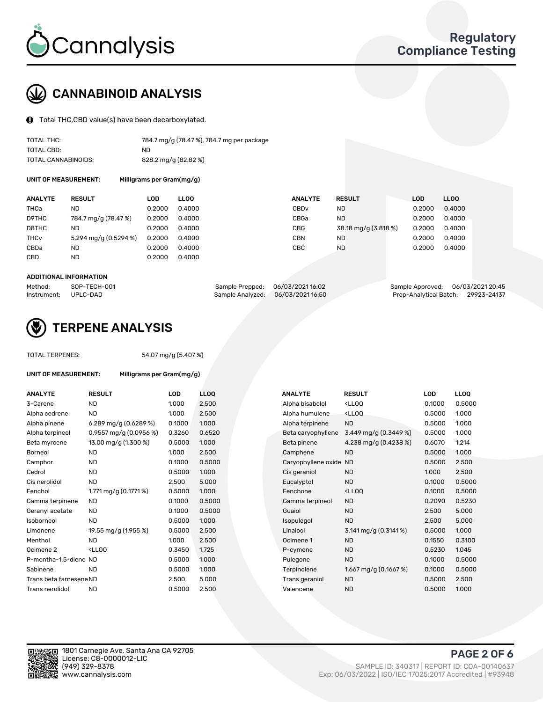

## CANNABINOID ANALYSIS

Total THC,CBD value(s) have been decarboxylated.

| TOTAL THC:          | 784.7 mg/g (78.47 %), 784.7 mg per package |
|---------------------|--------------------------------------------|
| TOTAL CBD:          | ND                                         |
| TOTAL CANNABINOIDS: | 828.2 mg/g (82.82 %)                       |

UNIT OF MEASUREMENT: Milligrams per Gram(mg/g)

| <b>ANALYTE</b>         | <b>RESULT</b>         | LOD    | <b>LLOO</b> | <b>ANALYTE</b>   | <b>RESULT</b>        | LOD    | LL <sub>00</sub> |
|------------------------|-----------------------|--------|-------------|------------------|----------------------|--------|------------------|
| THCa                   | ND                    | 0.2000 | 0.4000      | CBD <sub>v</sub> | <b>ND</b>            | 0.2000 | 0.4000           |
| D9THC                  | 784.7 mg/g (78.47 %)  | 0.2000 | 0.4000      | CBGa             | <b>ND</b>            | 0.2000 | 0.4000           |
| D8THC                  | ND                    | 0.2000 | 0.4000      | CBG              | 38.18 mg/g (3.818 %) | 0.2000 | 0.4000           |
| <b>THC<sub>v</sub></b> | 5.294 mg/g (0.5294 %) | 0.2000 | 0.4000      | <b>CBN</b>       | <b>ND</b>            | 0.2000 | 0.4000           |
| CBDa                   | ND                    | 0.2000 | 0.4000      | CBC              | <b>ND</b>            | 0.2000 | 0.4000           |
| CBD                    | ND                    | 0.2000 | 0.4000      |                  |                      |        |                  |

#### ADDITIONAL INFORMATION

| Method:              | SOP-TECH-001 | Sample Prepped: 06/03/202116:02   | Sample Approved: 06/03/2021 20:45  |  |
|----------------------|--------------|-----------------------------------|------------------------------------|--|
| Instrument: UPLC-DAD |              | Sample Analyzed: 06/03/2021 16:50 | Prep-Analytical Batch: 29923-24137 |  |



### TERPENE ANALYSIS

UNIT OF MEASUREMENT: Milligrams per Gram(mg/g)

| TUTAL TERPENES: |  |
|-----------------|--|
|                 |  |
|                 |  |

TOTAL TERPENES: 54.07 mg/g (5.407 %)

| <b>ANALYTE</b>          | <b>RESULT</b>                                                                                                      | LOD    | <b>LLOQ</b> | <b>ANALYTE</b>         | <b>RESULT</b>                                       | LOD    | <b>LLOQ</b> |
|-------------------------|--------------------------------------------------------------------------------------------------------------------|--------|-------------|------------------------|-----------------------------------------------------|--------|-------------|
| 3-Carene                | <b>ND</b>                                                                                                          | 1.000  | 2.500       | Alpha bisabolol        | <lloq< td=""><td>0.1000</td><td>0.5000</td></lloq<> | 0.1000 | 0.5000      |
| Alpha cedrene           | <b>ND</b>                                                                                                          | 1.000  | 2.500       | Alpha humulene         | <lloq< td=""><td>0.5000</td><td>1.000</td></lloq<>  | 0.5000 | 1.000       |
| Alpha pinene            | 6.289 mg/g $(0.6289\%)$                                                                                            | 0.1000 | 1.000       | Alpha terpinene        | <b>ND</b>                                           | 0.5000 | 1.000       |
| Alpha terpineol         | 0.9557 mg/g $(0.0956\%)$                                                                                           | 0.3260 | 0.6520      | Beta caryophyllene     | 3.449 mg/g (0.3449 %)                               | 0.5000 | 1.000       |
| Beta myrcene            | 13.00 mg/g (1.300 %)                                                                                               | 0.5000 | 1.000       | Beta pinene            | 4.238 mg/g (0.4238 %)                               | 0.6070 | 1.214       |
| <b>Borneol</b>          | <b>ND</b>                                                                                                          | 1.000  | 2.500       | Camphene               | <b>ND</b>                                           | 0.5000 | 1.000       |
| Camphor                 | <b>ND</b>                                                                                                          | 0.1000 | 0.5000      | Caryophyllene oxide ND |                                                     | 0.5000 | 2.500       |
| Cedrol                  | <b>ND</b>                                                                                                          | 0.5000 | 1.000       | Cis geraniol           | <b>ND</b>                                           | 1.000  | 2.500       |
| Cis nerolidol           | <b>ND</b>                                                                                                          | 2.500  | 5.000       | Eucalyptol             | <b>ND</b>                                           | 0.1000 | 0.5000      |
| Fenchol                 | 1.771 mg/g (0.1771 %)                                                                                              | 0.5000 | 1.000       | Fenchone               | <lloq< td=""><td>0.1000</td><td>0.5000</td></lloq<> | 0.1000 | 0.5000      |
| Gamma terpinene         | <b>ND</b>                                                                                                          | 0.1000 | 0.5000      | Gamma terpineol        | <b>ND</b>                                           | 0.2090 | 0.5230      |
| Geranyl acetate         | <b>ND</b>                                                                                                          | 0.1000 | 0.5000      | Guaiol                 | <b>ND</b>                                           | 2.500  | 5.000       |
| Isoborneol              | <b>ND</b>                                                                                                          | 0.5000 | 1.000       | Isopulegol             | <b>ND</b>                                           | 2.500  | 5.000       |
| Limonene                | 19.55 mg/g (1.955 %)                                                                                               | 0.5000 | 2.500       | Linalool               | 3.141 mg/g $(0.3141\%)$                             | 0.5000 | 1.000       |
| Menthol                 | <b>ND</b>                                                                                                          | 1.000  | 2.500       | Ocimene 1              | <b>ND</b>                                           | 0.1550 | 0.3100      |
| Ocimene 2               | <ll0q< td=""><td>0.3450</td><td>1.725</td><td>P-cymene</td><td><b>ND</b></td><td>0.5230</td><td>1.045</td></ll0q<> | 0.3450 | 1.725       | P-cymene               | <b>ND</b>                                           | 0.5230 | 1.045       |
| P-mentha-1.5-diene ND   |                                                                                                                    | 0.5000 | 1.000       | Pulegone               | <b>ND</b>                                           | 0.1000 | 0.5000      |
| Sabinene                | <b>ND</b>                                                                                                          | 0.5000 | 1.000       | Terpinolene            | 1.667 mg/g $(0.1667%)$                              | 0.1000 | 0.5000      |
| Trans beta farnesene ND |                                                                                                                    | 2.500  | 5.000       | Trans geraniol         | <b>ND</b>                                           | 0.5000 | 2.500       |
| Trans nerolidol         | <b>ND</b>                                                                                                          | 0.5000 | 2.500       | Valencene              | <b>ND</b>                                           | 0.5000 | 1.000       |

| <b>NALYTE</b>       | <b>RESULT</b>                                       | <b>LOD</b> | LLOQ   |
|---------------------|-----------------------------------------------------|------------|--------|
| Ipha bisabolol      | <lloq< td=""><td>0.1000</td><td>0.5000</td></lloq<> | 0.1000     | 0.5000 |
| Ipha humulene       | <lloq< td=""><td>0.5000</td><td>1.000</td></lloq<>  | 0.5000     | 1.000  |
| Ipha terpinene      | <b>ND</b>                                           | 0.5000     | 1.000  |
| eta caryophyllene   | 3.449 mg/g $(0.3449\%)$                             | 0.5000     | 1.000  |
| leta pinene         | 4.238 mg/g (0.4238 %)                               | 0.6070     | 1.214  |
| amphene:            | <b>ND</b>                                           | 0.5000     | 1.000  |
| aryophyllene oxide: | <b>ND</b>                                           | 0.5000     | 2.500  |
| is geraniol:        | <b>ND</b>                                           | 1.000      | 2.500  |
| ucalyptol           | <b>ND</b>                                           | 0.1000     | 0.5000 |
| enchone             | <lloq< td=""><td>0.1000</td><td>0.5000</td></lloq<> | 0.1000     | 0.5000 |
| amma terpineol      | <b>ND</b>                                           | 0.2090     | 0.5230 |
| iuaiol              | <b>ND</b>                                           | 2.500      | 5.000  |
| sopulegol           | <b>ND</b>                                           | 2.500      | 5.000  |
| inalool             | 3.141 mg/g $(0.3141\%)$                             | 0.5000     | 1.000  |
| cimene 1            | <b>ND</b>                                           | 0.1550     | 0.3100 |
| -cymene             | <b>ND</b>                                           | 0.5230     | 1.045  |
| ulegone             | <b>ND</b>                                           | 0.1000     | 0.5000 |
| erpinolene          | 1.667 mg/g (0.1667 %)                               | 0.1000     | 0.5000 |
| rans geraniol       | <b>ND</b>                                           | 0.5000     | 2.500  |
| 'alencene           | <b>ND</b>                                           | 0.5000     | 1.000  |
|                     |                                                     |            |        |



PAGE 2 OF 6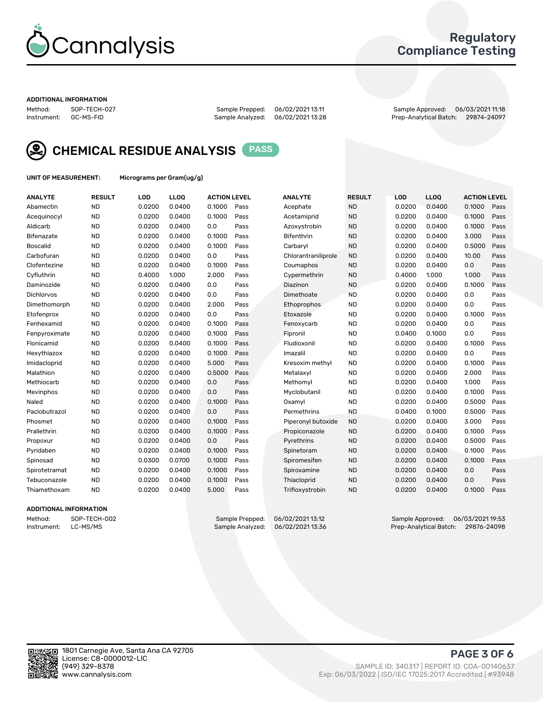

### Regulatory Compliance Testing

#### ADDITIONAL INFORMATION

Method: SOP-TECH-027 Sample Prepped: 06/02/2021 13:11 Sample Approved: 06/03/2021 11:18 Prep-Analytical Batch: 29874-24097



CHEMICAL RESIDUE ANALYSIS PASS

UNIT OF MEASUREMENT: Micrograms per Gram(ug/g)

| <b>ANALYTE</b>    | <b>RESULT</b> | LOD    | <b>LLOQ</b> | <b>ACTION LEVEL</b> |      | <b>ANALYTE</b>      | <b>RESULT</b> | LOD    | <b>LLOQ</b> | <b>ACTION LEVEL</b> |      |
|-------------------|---------------|--------|-------------|---------------------|------|---------------------|---------------|--------|-------------|---------------------|------|
| Abamectin         | <b>ND</b>     | 0.0200 | 0.0400      | 0.1000              | Pass | Acephate            | <b>ND</b>     | 0.0200 | 0.0400      | 0.1000              | Pass |
| Acequinocyl       | <b>ND</b>     | 0.0200 | 0.0400      | 0.1000              | Pass | Acetamiprid         | <b>ND</b>     | 0.0200 | 0.0400      | 0.1000              | Pass |
| Aldicarb          | <b>ND</b>     | 0.0200 | 0.0400      | 0.0                 | Pass | Azoxystrobin        | <b>ND</b>     | 0.0200 | 0.0400      | 0.1000              | Pass |
| Bifenazate        | <b>ND</b>     | 0.0200 | 0.0400      | 0.1000              | Pass | <b>Bifenthrin</b>   | <b>ND</b>     | 0.0200 | 0.0400      | 3.000               | Pass |
| <b>Boscalid</b>   | <b>ND</b>     | 0.0200 | 0.0400      | 0.1000              | Pass | Carbarvl            | <b>ND</b>     | 0.0200 | 0.0400      | 0.5000              | Pass |
| Carbofuran        | <b>ND</b>     | 0.0200 | 0.0400      | 0.0                 | Pass | Chlorantraniliprole | <b>ND</b>     | 0.0200 | 0.0400      | 10.00               | Pass |
| Clofentezine      | <b>ND</b>     | 0.0200 | 0.0400      | 0.1000              | Pass | Coumaphos           | <b>ND</b>     | 0.0200 | 0.0400      | 0.0                 | Pass |
| Cyfluthrin        | <b>ND</b>     | 0.4000 | 1.000       | 2.000               | Pass | Cypermethrin        | <b>ND</b>     | 0.4000 | 1.000       | 1.000               | Pass |
| Daminozide        | <b>ND</b>     | 0.0200 | 0.0400      | 0.0                 | Pass | Diazinon            | <b>ND</b>     | 0.0200 | 0.0400      | 0.1000              | Pass |
| <b>Dichlorvos</b> | <b>ND</b>     | 0.0200 | 0.0400      | 0.0                 | Pass | Dimethoate          | <b>ND</b>     | 0.0200 | 0.0400      | 0.0                 | Pass |
| Dimethomorph      | <b>ND</b>     | 0.0200 | 0.0400      | 2.000               | Pass | <b>Ethoprophos</b>  | <b>ND</b>     | 0.0200 | 0.0400      | 0.0                 | Pass |
| Etofenprox        | <b>ND</b>     | 0.0200 | 0.0400      | 0.0                 | Pass | Etoxazole           | <b>ND</b>     | 0.0200 | 0.0400      | 0.1000              | Pass |
| Fenhexamid        | <b>ND</b>     | 0.0200 | 0.0400      | 0.1000              | Pass | Fenoxycarb          | <b>ND</b>     | 0.0200 | 0.0400      | 0.0                 | Pass |
| Fenpyroximate     | <b>ND</b>     | 0.0200 | 0.0400      | 0.1000              | Pass | Fipronil            | <b>ND</b>     | 0.0400 | 0.1000      | 0.0                 | Pass |
| Flonicamid        | <b>ND</b>     | 0.0200 | 0.0400      | 0.1000              | Pass | Fludioxonil         | <b>ND</b>     | 0.0200 | 0.0400      | 0.1000              | Pass |
| Hexythiazox       | <b>ND</b>     | 0.0200 | 0.0400      | 0.1000              | Pass | Imazalil            | <b>ND</b>     | 0.0200 | 0.0400      | 0.0                 | Pass |
| Imidacloprid      | <b>ND</b>     | 0.0200 | 0.0400      | 5.000               | Pass | Kresoxim methyl     | <b>ND</b>     | 0.0200 | 0.0400      | 0.1000              | Pass |
| Malathion         | <b>ND</b>     | 0.0200 | 0.0400      | 0.5000              | Pass | Metalaxyl           | <b>ND</b>     | 0.0200 | 0.0400      | 2.000               | Pass |
| Methiocarb        | <b>ND</b>     | 0.0200 | 0.0400      | 0.0                 | Pass | Methomyl            | <b>ND</b>     | 0.0200 | 0.0400      | 1.000               | Pass |
| Mevinphos         | <b>ND</b>     | 0.0200 | 0.0400      | 0.0                 | Pass | Myclobutanil        | <b>ND</b>     | 0.0200 | 0.0400      | 0.1000              | Pass |
| Naled             | <b>ND</b>     | 0.0200 | 0.0400      | 0.1000              | Pass | Oxamyl              | <b>ND</b>     | 0.0200 | 0.0400      | 0.5000              | Pass |
| Paclobutrazol     | <b>ND</b>     | 0.0200 | 0.0400      | 0.0                 | Pass | Permethrins         | <b>ND</b>     | 0.0400 | 0.1000      | 0.5000              | Pass |
| Phosmet           | <b>ND</b>     | 0.0200 | 0.0400      | 0.1000              | Pass | Piperonyl butoxide  | <b>ND</b>     | 0.0200 | 0.0400      | 3.000               | Pass |
| Prallethrin       | <b>ND</b>     | 0.0200 | 0.0400      | 0.1000              | Pass | Propiconazole       | <b>ND</b>     | 0.0200 | 0.0400      | 0.1000              | Pass |
| Propoxur          | <b>ND</b>     | 0.0200 | 0.0400      | 0.0                 | Pass | Pyrethrins          | <b>ND</b>     | 0.0200 | 0.0400      | 0.5000              | Pass |
| Pyridaben         | <b>ND</b>     | 0.0200 | 0.0400      | 0.1000              | Pass | Spinetoram          | <b>ND</b>     | 0.0200 | 0.0400      | 0.1000              | Pass |
| Spinosad          | <b>ND</b>     | 0.0300 | 0.0700      | 0.1000              | Pass | Spiromesifen        | <b>ND</b>     | 0.0200 | 0.0400      | 0.1000              | Pass |
| Spirotetramat     | <b>ND</b>     | 0.0200 | 0.0400      | 0.1000              | Pass | Spiroxamine         | <b>ND</b>     | 0.0200 | 0.0400      | 0.0                 | Pass |
| Tebuconazole      | <b>ND</b>     | 0.0200 | 0.0400      | 0.1000              | Pass | Thiacloprid         | <b>ND</b>     | 0.0200 | 0.0400      | 0.0                 | Pass |
| Thiamethoxam      | <b>ND</b>     | 0.0200 | 0.0400      | 5.000               | Pass | Trifloxystrobin     | <b>ND</b>     | 0.0200 | 0.0400      | 0.1000              | Pass |

#### ADDITIONAL INFORMATION

Method: SOP-TECH-002 Sample Prepped: 06/02/202113:12 Sample Approved: 06/03/2021 19:53<br>Instrument: LC-MS/MS Sample Analyzed: 06/02/2021 13:36 Prep-Analytical Batch: 29876-24098 Prep-Analytical Batch: 29876-24098

PAGE 3 OF 6

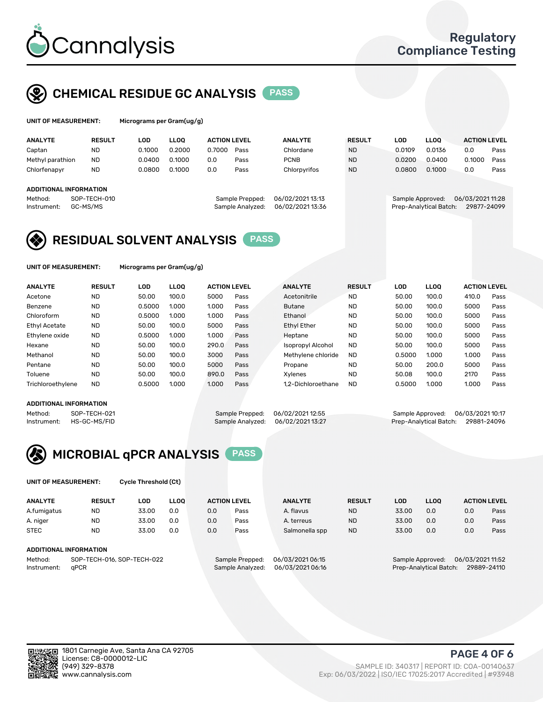

### CHEMICAL RESIDUE GC ANALYSIS PASS

| UNIT OF MEASUREMENT: | Mi |
|----------------------|----|
|                      |    |

icrograms per Gram(ug/g)

| <b>ANALYTE</b>                                   | <b>RESULT</b>            | LOD    | <b>LLOO</b> | <b>ACTION LEVEL</b> |                                     | <b>ANALYTE</b>                     | <b>RESULT</b> | LOD              | <b>LLOO</b>            | <b>ACTION LEVEL</b>            |      |
|--------------------------------------------------|--------------------------|--------|-------------|---------------------|-------------------------------------|------------------------------------|---------------|------------------|------------------------|--------------------------------|------|
| Captan                                           | <b>ND</b>                | 0.1000 | 0.2000      | 0.7000              | Pass                                | Chlordane                          | <b>ND</b>     | 0.0109           | 0.0136                 | 0.0                            | Pass |
| Methyl parathion                                 | <b>ND</b>                | 0.0400 | 0.1000      | 0.0                 | Pass                                | <b>PCNB</b>                        | <b>ND</b>     | 0.0200           | 0.0400                 | 0.1000                         | Pass |
| Chlorfenapyr                                     | <b>ND</b>                | 0.0800 | 0.1000      | 0.0                 | Pass                                | Chlorpyrifos                       | <b>ND</b>     | 0.0800           | 0.1000                 | 0.0                            | Pass |
| ADDITIONAL INFORMATION<br>Method:<br>Instrument: | SOP-TECH-010<br>GC-MS/MS |        |             |                     | Sample Prepped:<br>Sample Analyzed: | 06/02/202113:13<br>06/02/202113:36 |               | Sample Approved: | Prep-Analytical Batch: | 06/03/202111:28<br>29877-24099 |      |

### RESIDUAL SOLVENT ANALYSIS PASS

UNIT OF MEASUREMENT: Micrograms per Gram(ug/g)

| <b>ANALYTE</b>    | <b>RESULT</b> | LOD    | <b>LLOO</b> | <b>ACTION LEVEL</b> |      | <b>ANALYTE</b>           | <b>RESULT</b> | LOD    | <b>LLOO</b> | <b>ACTION LEVEL</b> |      |
|-------------------|---------------|--------|-------------|---------------------|------|--------------------------|---------------|--------|-------------|---------------------|------|
| Acetone           | <b>ND</b>     | 50.00  | 100.0       | 5000                | Pass | Acetonitrile             | <b>ND</b>     | 50.00  | 100.0       | 410.0               | Pass |
| Benzene           | <b>ND</b>     | 0.5000 | 1.000       | 1.000               | Pass | <b>Butane</b>            | <b>ND</b>     | 50.00  | 100.0       | 5000                | Pass |
| Chloroform        | <b>ND</b>     | 0.5000 | 1.000       | 1.000               | Pass | Ethanol                  | <b>ND</b>     | 50.00  | 100.0       | 5000                | Pass |
| Ethyl Acetate     | <b>ND</b>     | 50.00  | 100.0       | 5000                | Pass | <b>Ethyl Ether</b>       | <b>ND</b>     | 50.00  | 100.0       | 5000                | Pass |
| Ethylene oxide    | <b>ND</b>     | 0.5000 | 1.000       | 1.000               | Pass | Heptane                  | <b>ND</b>     | 50.00  | 100.0       | 5000                | Pass |
| Hexane            | <b>ND</b>     | 50.00  | 100.0       | 290.0               | Pass | <b>Isopropyl Alcohol</b> | <b>ND</b>     | 50.00  | 100.0       | 5000                | Pass |
| Methanol          | <b>ND</b>     | 50.00  | 100.0       | 3000                | Pass | Methylene chloride       | <b>ND</b>     | 0.5000 | 1.000       | 1.000               | Pass |
| Pentane           | <b>ND</b>     | 50.00  | 100.0       | 5000                | Pass | Propane                  | <b>ND</b>     | 50.00  | 200.0       | 5000                | Pass |
| Toluene           | <b>ND</b>     | 50.00  | 100.0       | 890.0               | Pass | Xvlenes                  | <b>ND</b>     | 50.08  | 100.0       | 2170                | Pass |
| Trichloroethylene | <b>ND</b>     | 0.5000 | 1.000       | 1.000               | Pass | 1.2-Dichloroethane       | <b>ND</b>     | 0.5000 | 1.000       | 1.000               | Pass |

#### ADDITIONAL INFORMATION

Method: SOP-TECH-021 Sample Prepped: 06/02/202112:55 Sample Approved: 06/03/2021 10:17<br>Sample Analyzed: 06/02/202113:27 Prep-Analytical Batch: 29881-24096 Prep-Analytical Batch: 29881-24096



UNIT OF MEASUREMENT: Cycle Threshold (Ct)

| <b>ANALYTE</b>         | <b>RESULT</b>              | LOD   | <b>LLOO</b> | <b>ACTION LEVEL</b> |                  | <b>ANALYTE</b> | <b>RESULT</b> | LOD              | <b>LLOO</b>      |     | <b>ACTION LEVEL</b> |
|------------------------|----------------------------|-------|-------------|---------------------|------------------|----------------|---------------|------------------|------------------|-----|---------------------|
| A.fumigatus            | ND                         | 33.00 | 0.0         | 0.0                 | Pass             | A. flavus      | <b>ND</b>     | 33.00            | 0.0              | 0.0 | Pass                |
| A. niger               | <b>ND</b>                  | 33.00 | 0.0         | 0.0                 | Pass             | A. terreus     | <b>ND</b>     | 33.00            | 0.0              | 0.0 | Pass                |
| <b>STEC</b>            | <b>ND</b>                  | 33.00 | 0.0         | 0.0                 | Pass             | Salmonella spp | <b>ND</b>     | 33.00            | 0.0              | 0.0 | Pass                |
| ADDITIONAL INFORMATION |                            |       |             |                     |                  |                |               |                  |                  |     |                     |
| Method:                | SOP-TECH-016, SOP-TECH-022 |       |             | Sample Prepped:     | 06/03/2021 06:15 |                |               | Sample Approved: | 06/03/2021 11:52 |     |                     |

Instrument: qPCR Sample Analyzed: 06/03/2021 06:16 Prep-Analytical Batch: 29889-24110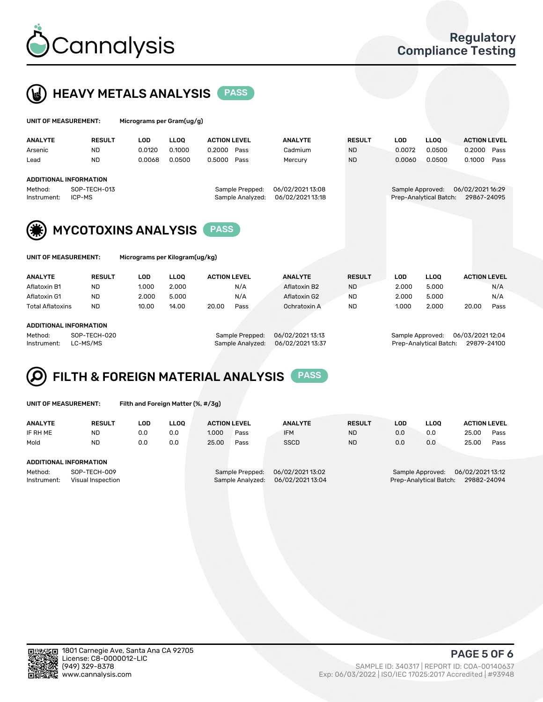



| UNIT OF MEASUREMENT:                             |                               | Micrograms per Gram(ug/g)      |                  |                                     |                    |                                                                               |                  |                  |                                  |  |  |
|--------------------------------------------------|-------------------------------|--------------------------------|------------------|-------------------------------------|--------------------|-------------------------------------------------------------------------------|------------------|------------------|----------------------------------|--|--|
| <b>ANALYTE</b>                                   | <b>RESULT</b>                 | <b>LOD</b>                     | <b>LLOO</b>      | <b>ACTION LEVEL</b>                 | <b>ANALYTE</b>     | <b>RESULT</b>                                                                 | <b>LOD</b>       | <b>LLOO</b>      | <b>ACTION LEVEL</b>              |  |  |
| Arsenic<br>Lead                                  | <b>ND</b><br><b>ND</b>        | 0.0120<br>0.0068               | 0.1000<br>0.0500 | 0.2000<br>Pass<br>0.5000<br>Pass    | Cadmium<br>Mercury | <b>ND</b><br><b>ND</b>                                                        | 0.0072<br>0.0060 | 0.0500<br>0.0500 | 0.2000<br>Pass<br>0.1000<br>Pass |  |  |
|                                                  | <b>ADDITIONAL INFORMATION</b> |                                |                  |                                     |                    |                                                                               |                  |                  |                                  |  |  |
| SOP-TECH-013<br>Method:<br>ICP-MS<br>Instrument: |                               |                                |                  | Sample Prepped:<br>Sample Analyzed: |                    | 06/02/2021 16:29<br>Sample Approved:<br>Prep-Analytical Batch:<br>29867-24095 |                  |                  |                                  |  |  |
| <b>MYCOTOXINS ANALYSIS</b><br><b>PASS</b>        |                               |                                |                  |                                     |                    |                                                                               |                  |                  |                                  |  |  |
| UNIT OF MEASUREMENT:                             |                               | Micrograms per Kilogram(ug/kg) |                  |                                     |                    |                                                                               |                  |                  |                                  |  |  |
| <b>ANALYTE</b>                                   | <b>RESULT</b>                 | LOD                            | <b>LLOQ</b>      | <b>ACTION LEVEL</b>                 | <b>ANALYTE</b>     | <b>RESULT</b>                                                                 | <b>LOD</b>       | <b>LLOQ</b>      | <b>ACTION LEVEL</b>              |  |  |

|                        | .                       | .            |       |                 |       |      | .               |                  | .         | ---   |       |                  |      |  |
|------------------------|-------------------------|--------------|-------|-----------------|-------|------|-----------------|------------------|-----------|-------|-------|------------------|------|--|
|                        | Aflatoxin B1            | ND           | 1.000 | 2.000           |       | N/A  | Aflatoxin B2    |                  | <b>ND</b> | 2.000 | 5.000 |                  | N/A  |  |
|                        | Aflatoxin G1            | <b>ND</b>    | 2.000 | 5.000           |       | N/A  | Aflatoxin G2    |                  | <b>ND</b> | 2.000 | 5.000 |                  | N/A  |  |
|                        | <b>Total Aflatoxins</b> | <b>ND</b>    | 10.00 | 14.00           | 20.00 | Pass | Ochratoxin A    |                  | <b>ND</b> | 1.000 | 2.000 | 20.00            | Pass |  |
|                        |                         |              |       |                 |       |      |                 |                  |           |       |       |                  |      |  |
| ADDITIONAL INFORMATION |                         |              |       |                 |       |      |                 |                  |           |       |       |                  |      |  |
|                        | Method:                 | SOP-TECH-020 |       | Sample Prepped: |       |      | 06/02/202113:13 | Sample Approved: |           |       |       | 06/03/2021 12:04 |      |  |
|                        |                         |              |       |                 |       |      |                 |                  |           |       |       |                  |      |  |

Instrument: LC-MS/MS Sample Analyzed: 06/02/2021 13:37 Prep-Analytical Batch: 29879-24100

#### FILTH & FOREIGN MATERIAL ANALYSIS PASS Q

UNIT OF MEASUREMENT: Filth and Foreign Matter (%, #/3g)

| <b>ANALYTE</b>                                              | <b>RESULT</b> | LOD | <b>LLOO</b> | <b>ACTION LEVEL</b>                 |      | <b>ANALYTE</b>                       | <b>RESULT</b>                                                                | LOD | LLOO | <b>ACTION LEVEL</b> |      |
|-------------------------------------------------------------|---------------|-----|-------------|-------------------------------------|------|--------------------------------------|------------------------------------------------------------------------------|-----|------|---------------------|------|
| IF RH ME                                                    | <b>ND</b>     | 0.0 | 0.0         | 1.000                               | Pass | <b>IFM</b>                           | <b>ND</b>                                                                    | 0.0 | 0.0  | 25.00               | Pass |
| Mold                                                        | <b>ND</b>     | 0.0 | 0.0         | 25.00                               | Pass | <b>SSCD</b>                          | <b>ND</b>                                                                    | 0.0 | 0.0  | 25.00               | Pass |
| <b>ADDITIONAL INFORMATION</b>                               |               |     |             |                                     |      |                                      |                                                                              |     |      |                     |      |
| Method:<br>SOP-TECH-009<br>Instrument:<br>Visual Inspection |               |     |             | Sample Prepped:<br>Sample Analyzed: |      | 06/02/2021 13:02<br>06/02/2021 13:04 | 06/02/202113:12<br>Sample Approved:<br>Prep-Analytical Batch:<br>29882-24094 |     |      |                     |      |